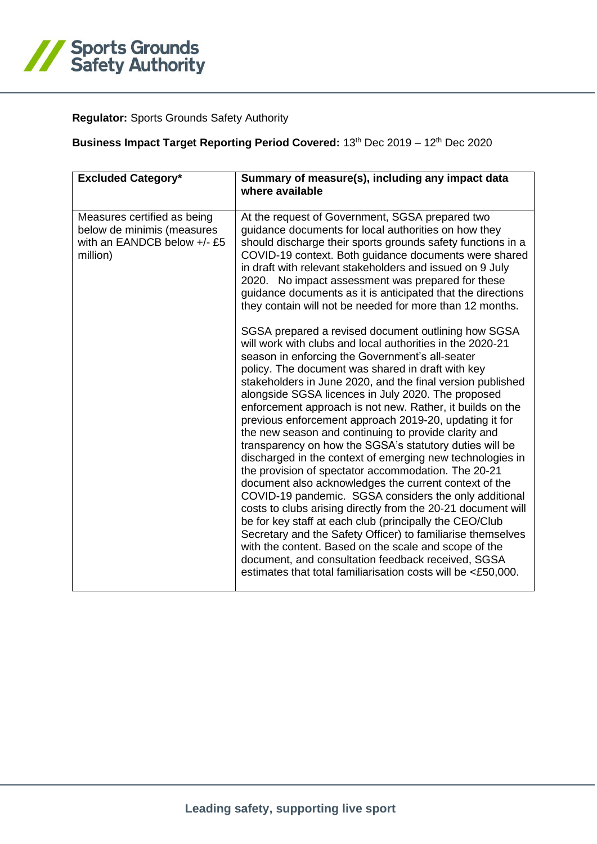

## **Regulator:** Sports Grounds Safety Authority

## **Business Impact Target Reporting Period Covered: 13th Dec 2019 – 12th Dec 2020**

| <b>Excluded Category*</b>                                                                            | Summary of measure(s), including any impact data<br>where available                                                                                                                                                                                                                                                                                                                                                                                                                                                                                                                                                                                                                                                                                                                                                                                                                                                                                                                                                                                                                                                                            |
|------------------------------------------------------------------------------------------------------|------------------------------------------------------------------------------------------------------------------------------------------------------------------------------------------------------------------------------------------------------------------------------------------------------------------------------------------------------------------------------------------------------------------------------------------------------------------------------------------------------------------------------------------------------------------------------------------------------------------------------------------------------------------------------------------------------------------------------------------------------------------------------------------------------------------------------------------------------------------------------------------------------------------------------------------------------------------------------------------------------------------------------------------------------------------------------------------------------------------------------------------------|
| Measures certified as being<br>below de minimis (measures<br>with an EANDCB below +/- £5<br>million) | At the request of Government, SGSA prepared two<br>guidance documents for local authorities on how they<br>should discharge their sports grounds safety functions in a<br>COVID-19 context. Both guidance documents were shared<br>in draft with relevant stakeholders and issued on 9 July<br>2020. No impact assessment was prepared for these<br>guidance documents as it is anticipated that the directions<br>they contain will not be needed for more than 12 months.<br>SGSA prepared a revised document outlining how SGSA                                                                                                                                                                                                                                                                                                                                                                                                                                                                                                                                                                                                             |
|                                                                                                      | will work with clubs and local authorities in the 2020-21<br>season in enforcing the Government's all-seater<br>policy. The document was shared in draft with key<br>stakeholders in June 2020, and the final version published<br>alongside SGSA licences in July 2020. The proposed<br>enforcement approach is not new. Rather, it builds on the<br>previous enforcement approach 2019-20, updating it for<br>the new season and continuing to provide clarity and<br>transparency on how the SGSA's statutory duties will be<br>discharged in the context of emerging new technologies in<br>the provision of spectator accommodation. The 20-21<br>document also acknowledges the current context of the<br>COVID-19 pandemic. SGSA considers the only additional<br>costs to clubs arising directly from the 20-21 document will<br>be for key staff at each club (principally the CEO/Club<br>Secretary and the Safety Officer) to familiarise themselves<br>with the content. Based on the scale and scope of the<br>document, and consultation feedback received, SGSA<br>estimates that total familiarisation costs will be <£50,000. |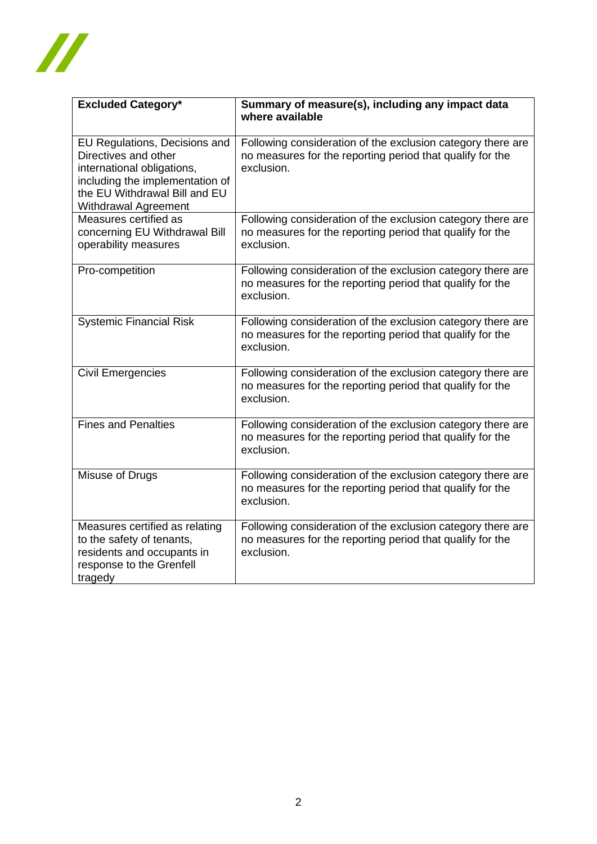

| <b>Excluded Category*</b>                                                                                                                                                       | Summary of measure(s), including any impact data<br>where available                                                                    |
|---------------------------------------------------------------------------------------------------------------------------------------------------------------------------------|----------------------------------------------------------------------------------------------------------------------------------------|
| EU Regulations, Decisions and<br>Directives and other<br>international obligations,<br>including the implementation of<br>the EU Withdrawal Bill and EU<br>Withdrawal Agreement | Following consideration of the exclusion category there are<br>no measures for the reporting period that qualify for the<br>exclusion. |
| Measures certified as<br>concerning EU Withdrawal Bill<br>operability measures                                                                                                  | Following consideration of the exclusion category there are<br>no measures for the reporting period that qualify for the<br>exclusion. |
| Pro-competition                                                                                                                                                                 | Following consideration of the exclusion category there are<br>no measures for the reporting period that qualify for the<br>exclusion. |
| <b>Systemic Financial Risk</b>                                                                                                                                                  | Following consideration of the exclusion category there are<br>no measures for the reporting period that qualify for the<br>exclusion. |
| <b>Civil Emergencies</b>                                                                                                                                                        | Following consideration of the exclusion category there are<br>no measures for the reporting period that qualify for the<br>exclusion. |
| Fines and Penalties                                                                                                                                                             | Following consideration of the exclusion category there are<br>no measures for the reporting period that qualify for the<br>exclusion. |
| Misuse of Drugs                                                                                                                                                                 | Following consideration of the exclusion category there are<br>no measures for the reporting period that qualify for the<br>exclusion. |
| Measures certified as relating<br>to the safety of tenants,<br>residents and occupants in<br>response to the Grenfell<br>tragedy                                                | Following consideration of the exclusion category there are<br>no measures for the reporting period that qualify for the<br>exclusion. |